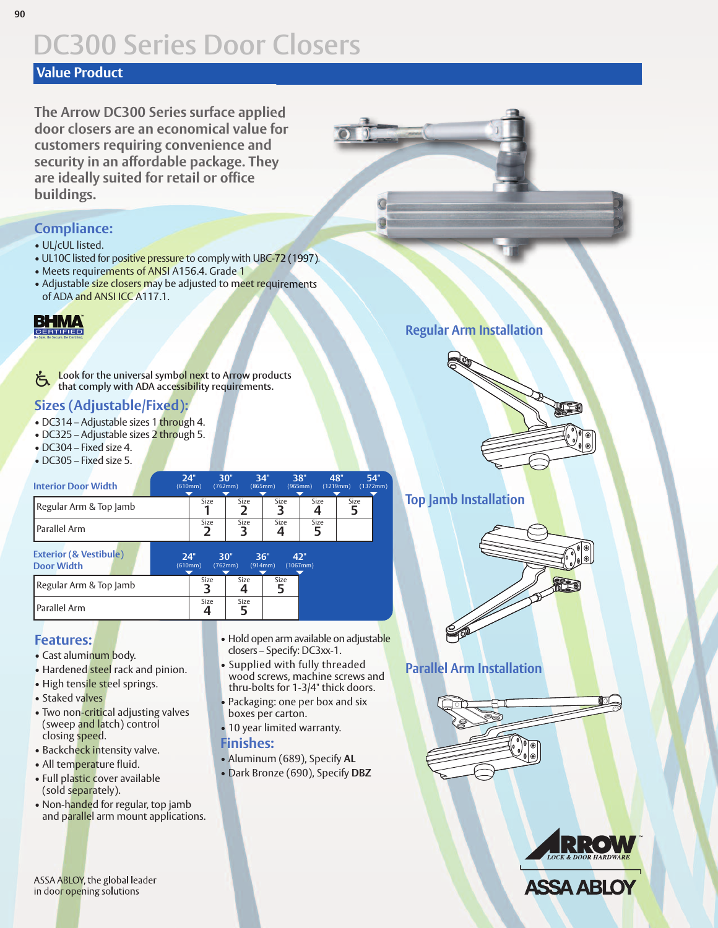## **DC300 Series Door Closers**

#### **Value Product**

**The Arrow DC300 Series surface applied door closers are an economical value for customers requiring convenience and security in an affordable package. They are ideally suited for retail or office buildings.**

#### **Compliance:**

- UL/cUL listed.
- UL10C listed for positive pressure to comply with UBC-72 (1997).
- Meets requirements of ANSI A156.4. Grade 1
- Adjustable size closers may be adjusted to meet requirements of ADA and ANSI ICC A117.1.

## **BHMA**

**Look for the universal symbol next to Arrow products that comply with ADA accessibility requirements.** Ġ

#### **Sizes (Adjustable/Fixed):**

- DC314 Adjustable sizes 1 through 4.
- DC325 Adjustable sizes 2 through 5.
- DC304 Fixed size 4.
- DC305 Fixed size 5.

| <b>Interior Door Width</b> | 24"<br>(610mm) | 30"<br>(762mm) | 34"<br>(865mm) | 38"<br>(965mm) | 48"<br>(1219mm) | 54"<br>(1372mm) |
|----------------------------|----------------|----------------|----------------|----------------|-----------------|-----------------|
| Regular Arm & Top Jamb     | Size           | Size           | Size           | Size           | Size            |                 |
| l Parallel Arm             | Size           | Size           | Size           | Size           |                 |                 |

| <b>Exterior (&amp; Vestibule)</b><br><b>Door Width</b> | 24"<br>(610mm) | 30"       | (762mm) | 36"<br>(914mm) | 47"<br>$(1067$ mm $)$ |
|--------------------------------------------------------|----------------|-----------|---------|----------------|-----------------------|
| Regular Arm & Top Jamb                                 |                | Size      | Size    | Size           |                       |
| l Parallel Arm                                         |                | Size<br>4 | Size    |                |                       |

#### **Features:**

- Cast aluminum body.
- Hardened steel rack and pinion.
- High tensile steel springs.
- Staked valves
- Two non-critical adjusting valves (sweep and latch) control closing speed.
- Backcheck intensity valve.
- All temperature fluid.
- Full plastic cover available (sold separately).
- Non-handed for regular, top jamb and parallel arm mount applications.

• Hold open arm available on adjustable closers – Specify: DC3xx-1.

- Supplied with fully threaded wood screws, machine screws and thru-bolts for 1-3/4" thick doors.
- Packaging: one per box and six boxes per carton.
- 10 year limited warranty.

#### **Finishes:**

- Aluminum (689), Specify **AL**
- Dark Bronze (690), Specify **DBZ**

**Regular Arm Installation**



#### **Top Jamb Installation**



#### **Parallel Arm Installation**